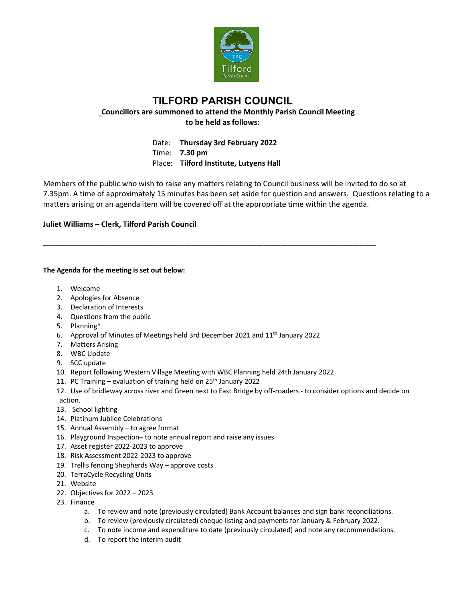

## **TILFORD PARISH COUNCIL Councillors are summoned to attend the Monthly Parish Council Meeting to be held as follows:**

Date: **Thursday 3rd February 2022** Time: **7.30 pm** Place: **Tilford Institute, Lutyens Hall**

\_\_\_\_\_\_\_\_\_\_\_\_\_\_\_\_\_\_\_\_\_\_\_\_\_\_\_\_\_\_\_\_\_\_\_\_\_\_\_\_\_\_\_\_\_\_\_\_\_\_\_\_\_\_\_\_\_\_\_\_\_\_\_\_\_\_\_\_\_\_\_\_\_\_\_\_\_\_\_\_

Members of the public who wish to raise any matters relating to Council business will be invited to do so at 7.35pm. A time of approximately 15 minutes has been set aside for question and answers. Questions relating to a matters arising or an agenda item will be covered off at the appropriate time within the agenda.

## **Juliet Williams – Clerk, Tilford Parish Council**

## **The Agenda for the meeting is set out below:**

- 1. Welcome
- 2. Apologies for Absence
- 3. Declaration of Interests
- 4. Questions from the public
- 5. Planning\*
- 6. Approval of Minutes of Meetings held 3rd December 2021 and 11th January 2022
- 7. Matters Arising
- 8. WBC Update
- 9. SCC update
- 10. Report following Western Village Meeting with WBC Planning held 24th January 2022
- 11. PC Training evaluation of training held on  $25<sup>th</sup>$  January 2022
- 12. Use of bridleway across river and Green next to East Bridge by off-roaders to consider options and decide on action.
- 13. School lighting
- 14. Platinum Jubilee Celebrations
- 15. Annual Assembly to agree format
- 16. Playground Inspection– to note annual report and raise any issues
- 17. Asset register 2022-2023 to approve
- 18. Risk Assessment 2022-2023 to approve
- 19. Trellis fencing Shepherds Way approve costs
- 20. TerraCycle Recycling Units
- 21. Website
- 22. Objectives for 2022 2023
- 23. Finance
	- a. To review and note (previously circulated) Bank Account balances and sign bank reconciliations.
	- b. To review (previously circulated) cheque listing and payments for January & February 2022.
	- c. To note income and expenditure to date (previously circulated) and note any recommendations.
	- d. To report the interim audit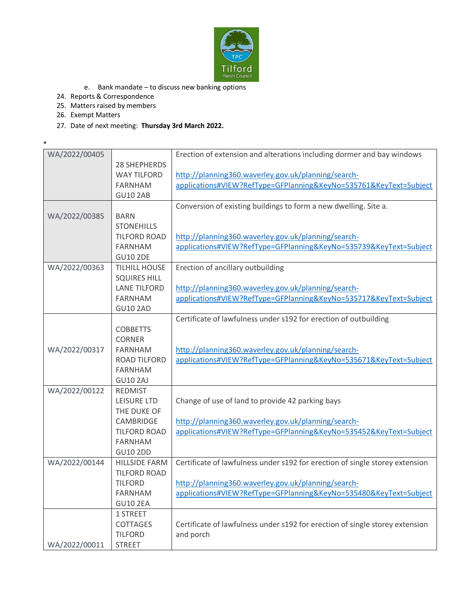

- e. Bank mandate to discuss new banking options
- 24. Reports & Correspondence
- 25. Matters raised by members
- 26. Exempt Matters

\*

27. Date of next meeting: **Thursday 3rd March 2022.**

| WA/2022/00405 |                      | Erection of extension and alterations including dormer and bay windows       |
|---------------|----------------------|------------------------------------------------------------------------------|
|               | <b>28 SHEPHERDS</b>  |                                                                              |
|               | <b>WAY TILFORD</b>   | http://planning360.waverley.gov.uk/planning/search-                          |
|               | <b>FARNHAM</b>       | applications#VIEW?RefType=GFPlanning&KeyNo=535761&KeyText=Subject            |
|               | <b>GU10 2AB</b>      |                                                                              |
|               |                      | Conversion of existing buildings to form a new dwelling. Site a.             |
| WA/2022/00385 | <b>BARN</b>          |                                                                              |
|               | <b>STONEHILLS</b>    |                                                                              |
|               | <b>TILFORD ROAD</b>  | http://planning360.waverley.gov.uk/planning/search-                          |
|               | <b>FARNHAM</b>       | applications#VIEW?RefType=GFPlanning&KeyNo=535739&KeyText=Subject            |
|               | <b>GU10 2DE</b>      |                                                                              |
| WA/2022/00363 | <b>TILHILL HOUSE</b> | Erection of ancillary outbuilding                                            |
|               | <b>SQUIRES HILL</b>  |                                                                              |
|               | <b>LANE TILFORD</b>  | http://planning360.waverley.gov.uk/planning/search-                          |
|               | <b>FARNHAM</b>       | applications#VIEW?RefType=GFPlanning&KeyNo=535717&KeyText=Subject            |
|               | <b>GU10 2AD</b>      |                                                                              |
|               |                      | Certificate of lawfulness under s192 for erection of outbuilding             |
|               | <b>COBBETTS</b>      |                                                                              |
|               | <b>CORNER</b>        |                                                                              |
| WA/2022/00317 | <b>FARNHAM</b>       | http://planning360.waverley.gov.uk/planning/search-                          |
|               | <b>ROAD TILFORD</b>  | applications#VIEW?RefType=GFPlanning&KeyNo=535671&KeyText=Subject            |
|               | <b>FARNHAM</b>       |                                                                              |
|               | <b>GU10 2AJ</b>      |                                                                              |
| WA/2022/00122 | <b>REDMIST</b>       |                                                                              |
|               | LEISURE LTD          | Change of use of land to provide 42 parking bays                             |
|               | THE DUKE OF          |                                                                              |
|               | CAMBRIDGE            | http://planning360.waverley.gov.uk/planning/search-                          |
|               | <b>TILFORD ROAD</b>  | applications#VIEW?RefType=GFPlanning&KeyNo=535452&KeyText=Subject            |
|               | <b>FARNHAM</b>       |                                                                              |
|               | <b>GU10 2DD</b>      |                                                                              |
| WA/2022/00144 | <b>HILLSIDE FARM</b> | Certificate of lawfulness under s192 for erection of single storey extension |
|               | <b>TILFORD ROAD</b>  |                                                                              |
|               | <b>TILFORD</b>       | http://planning360.waverley.gov.uk/planning/search-                          |
|               | <b>FARNHAM</b>       | applications#VIEW?RefType=GFPlanning&KeyNo=535480&KeyText=Subject            |
|               | <b>GU10 2EA</b>      |                                                                              |
|               | 1 STREET             |                                                                              |
|               | COTTAGES             | Certificate of lawfulness under s192 for erection of single storey extension |
|               | <b>TILFORD</b>       | and porch                                                                    |
| WA/2022/00011 | <b>STREET</b>        |                                                                              |